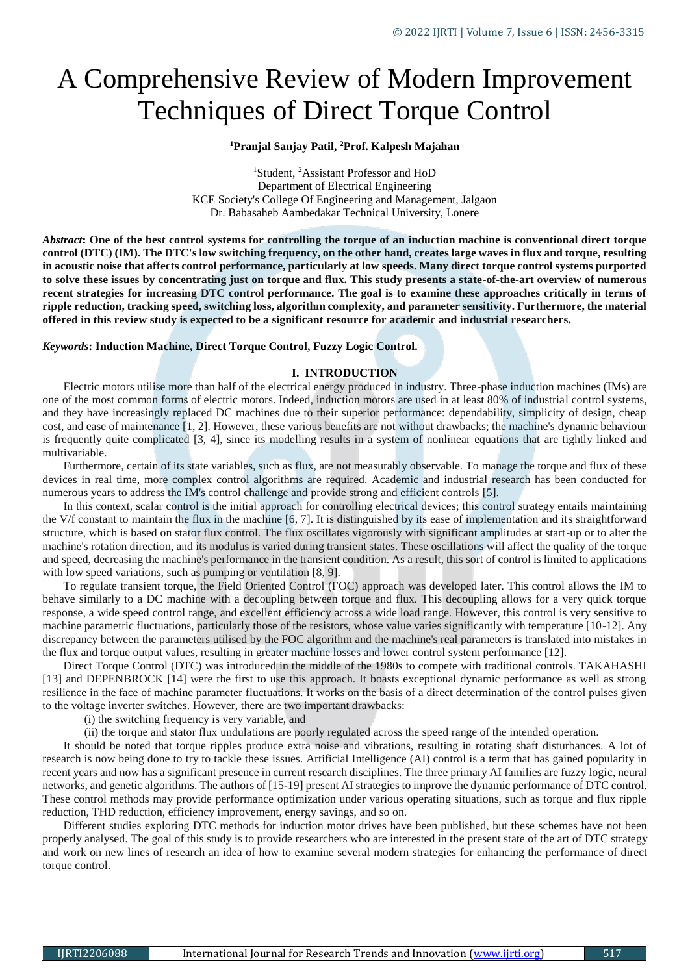# A Comprehensive Review of Modern Improvement Techniques of Direct Torque Control

# **<sup>1</sup>Pranjal Sanjay Patil, <sup>2</sup>Prof. Kalpesh Majahan**

<sup>1</sup>Student, <sup>2</sup>Assistant Professor and HoD Department of Electrical Engineering KCE Society's College Of Engineering and Management, Jalgaon Dr. Babasaheb Aambedakar Technical University, Lonere

*Abstract***: One of the best control systems for controlling the torque of an induction machine is conventional direct torque control (DTC) (IM). The DTC's low switching frequency, on the other hand, creates large waves in flux and torque, resulting in acoustic noise that affects control performance, particularly at low speeds. Many direct torque control systems purported to solve these issues by concentrating just on torque and flux. This study presents a state-of-the-art overview of numerous recent strategies for increasing DTC control performance. The goal is to examine these approaches critically in terms of ripple reduction, tracking speed, switching loss, algorithm complexity, and parameter sensitivity. Furthermore, the material offered in this review study is expected to be a significant resource for academic and industrial researchers.**

# *Keywords***: Induction Machine, Direct Torque Control, Fuzzy Logic Control.**

# **I. INTRODUCTION**

Electric motors utilise more than half of the electrical energy produced in industry. Three-phase induction machines (IMs) are one of the most common forms of electric motors. Indeed, induction motors are used in at least 80% of industrial control systems, and they have increasingly replaced DC machines due to their superior performance: dependability, simplicity of design, cheap cost, and ease of maintenance [1, 2]. However, these various benefits are not without drawbacks; the machine's dynamic behaviour is frequently quite complicated [3, 4], since its modelling results in a system of nonlinear equations that are tightly linked and multivariable.

Furthermore, certain of its state variables, such as flux, are not measurably observable. To manage the torque and flux of these devices in real time, more complex control algorithms are required. Academic and industrial research has been conducted for numerous years to address the IM's control challenge and provide strong and efficient controls [5].

In this context, scalar control is the initial approach for controlling electrical devices; this control strategy entails maintaining the V/f constant to maintain the flux in the machine [6, 7]. It is distinguished by its ease of implementation and its straightforward structure, which is based on stator flux control. The flux oscillates vigorously with significant amplitudes at start-up or to alter the machine's rotation direction, and its modulus is varied during transient states. These oscillations will affect the quality of the torque and speed, decreasing the machine's performance in the transient condition. As a result, this sort of control is limited to applications with low speed variations, such as pumping or ventilation [8, 9].

To regulate transient torque, the Field Oriented Control (FOC) approach was developed later. This control allows the IM to behave similarly to a DC machine with a decoupling between torque and flux. This decoupling allows for a very quick torque response, a wide speed control range, and excellent efficiency across a wide load range. However, this control is very sensitive to machine parametric fluctuations, particularly those of the resistors, whose value varies significantly with temperature [10-12]. Any discrepancy between the parameters utilised by the FOC algorithm and the machine's real parameters is translated into mistakes in the flux and torque output values, resulting in greater machine losses and lower control system performance [12].

Direct Torque Control (DTC) was introduced in the middle of the 1980s to compete with traditional controls. TAKAHASHI [13] and DEPENBROCK [14] were the first to use this approach. It boasts exceptional dynamic performance as well as strong resilience in the face of machine parameter fluctuations. It works on the basis of a direct determination of the control pulses given to the voltage inverter switches. However, there are two important drawbacks:

(i) the switching frequency is very variable, and

(ii) the torque and stator flux undulations are poorly regulated across the speed range of the intended operation.

It should be noted that torque ripples produce extra noise and vibrations, resulting in rotating shaft disturbances. A lot of research is now being done to try to tackle these issues. Artificial Intelligence (AI) control is a term that has gained popularity in recent years and now has a significant presence in current research disciplines. The three primary AI families are fuzzy logic, neural networks, and genetic algorithms. The authors of [15-19] present AI strategies to improve the dynamic performance of DTC control. These control methods may provide performance optimization under various operating situations, such as torque and flux ripple reduction, THD reduction, efficiency improvement, energy savings, and so on.

Different studies exploring DTC methods for induction motor drives have been published, but these schemes have not been properly analysed. The goal of this study is to provide researchers who are interested in the present state of the art of DTC strategy and work on new lines of research an idea of how to examine several modern strategies for enhancing the performance of direct torque control.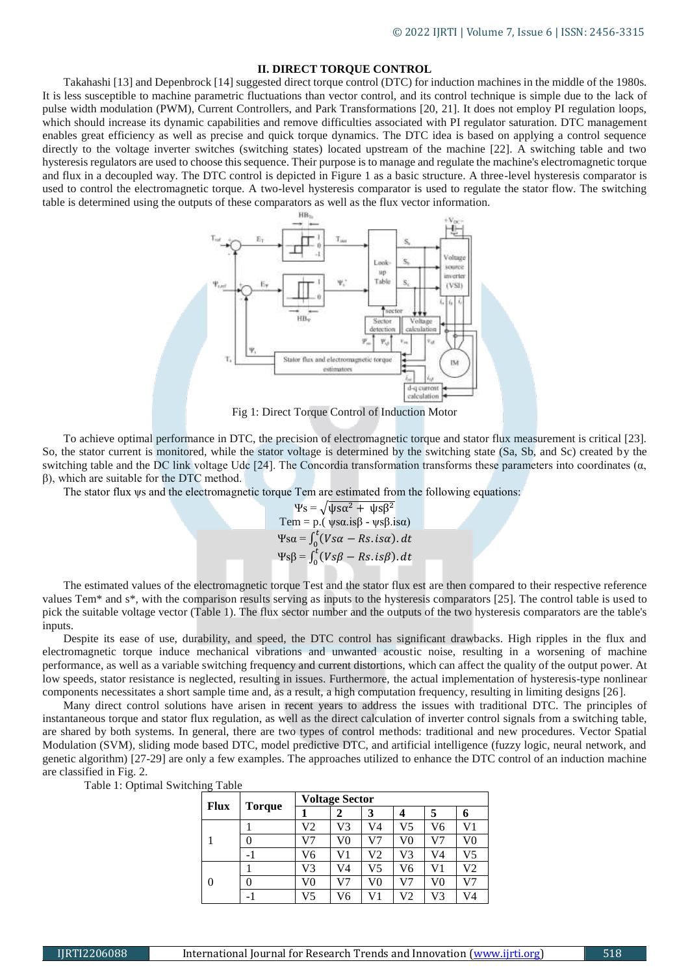# **II. DIRECT TORQUE CONTROL**

Takahashi [13] and Depenbrock [14] suggested direct torque control (DTC) for induction machines in the middle of the 1980s. It is less susceptible to machine parametric fluctuations than vector control, and its control technique is simple due to the lack of pulse width modulation (PWM), Current Controllers, and Park Transformations [20, 21]. It does not employ PI regulation loops, which should increase its dynamic capabilities and remove difficulties associated with PI regulator saturation. DTC management enables great efficiency as well as precise and quick torque dynamics. The DTC idea is based on applying a control sequence directly to the voltage inverter switches (switching states) located upstream of the machine [22]. A switching table and two hysteresis regulators are used to choose this sequence. Their purpose is to manage and regulate the machine's electromagnetic torque and flux in a decoupled way. The DTC control is depicted in Figure 1 as a basic structure. A three-level hysteresis comparator is used to control the electromagnetic torque. A two-level hysteresis comparator is used to regulate the stator flow. The switching table is determined using the outputs of these comparators as well as the flux vector information.



Fig 1: Direct Torque Control of Induction Motor

To achieve optimal performance in DTC, the precision of electromagnetic torque and stator flux measurement is critical [23]. So, the stator current is monitored, while the stator voltage is determined by the switching state (Sa, Sb, and Sc) created by the switching table and the DC link voltage Udc [24]. The Concordia transformation transforms these parameters into coordinates ( $\alpha$ , β), which are suitable for the DTC method.

The stator flux  $\psi$ s and the electromagnetic torque Tem are estimated from the following equations:

$$
\Psi s = \sqrt{\psi s \alpha^2 + \psi s \beta^2}
$$
  
Tem = p. ( $\psi s \alpha \beta - \psi s \beta \beta$ )  

$$
\Psi s \alpha = \int_0^t (V s \alpha - Rs \beta \alpha) dt
$$
  

$$
\Psi s \beta = \int_0^t (V s \beta - Rs \beta) dt
$$

The estimated values of the electromagnetic torque Test and the stator flux est are then compared to their respective reference values Tem\* and s\*, with the comparison results serving as inputs to the hysteresis comparators [25]. The control table is used to pick the suitable voltage vector (Table 1). The flux sector number and the outputs of the two hysteresis comparators are the table's inputs.

Despite its ease of use, durability, and speed, the DTC control has significant drawbacks. High ripples in the flux and electromagnetic torque induce mechanical vibrations and unwanted acoustic noise, resulting in a worsening of machine performance, as well as a variable switching frequency and current distortions, which can affect the quality of the output power. At low speeds, stator resistance is neglected, resulting in issues. Furthermore, the actual implementation of hysteresis-type nonlinear components necessitates a short sample time and, as a result, a high computation frequency, resulting in limiting designs [26].

Many direct control solutions have arisen in recent years to address the issues with traditional DTC. The principles of instantaneous torque and stator flux regulation, as well as the direct calculation of inverter control signals from a switching table, are shared by both systems. In general, there are two types of control methods: traditional and new procedures. Vector Spatial Modulation (SVM), sliding mode based DTC, model predictive DTC, and artificial intelligence (fuzzy logic, neural network, and genetic algorithm) [27-29] are only a few examples. The approaches utilized to enhance the DTC control of an induction machine are classified in Fig. 2.

Table 1: Optimal Switching Table

| ~<br><b>Flux</b> | <b>Torque</b> | <b>Voltage Sector</b> |    |    |                |    |    |
|------------------|---------------|-----------------------|----|----|----------------|----|----|
|                  |               |                       | 2  | 3  |                | 5  | n  |
|                  |               | V2                    | V3 | V4 | V5             | V6 | V1 |
|                  |               | V7                    | V0 | V7 | V <sub>0</sub> | V7 | V0 |
|                  |               | V6                    | V1 | V2 | V3             | V4 | V5 |
| 0                |               | V3                    | V4 | V5 | V6             | V1 | V2 |
|                  |               | V0                    | V7 | V0 | V7             | V0 | V7 |
|                  |               | V5                    | V6 | V1 | V2             | V3 | V4 |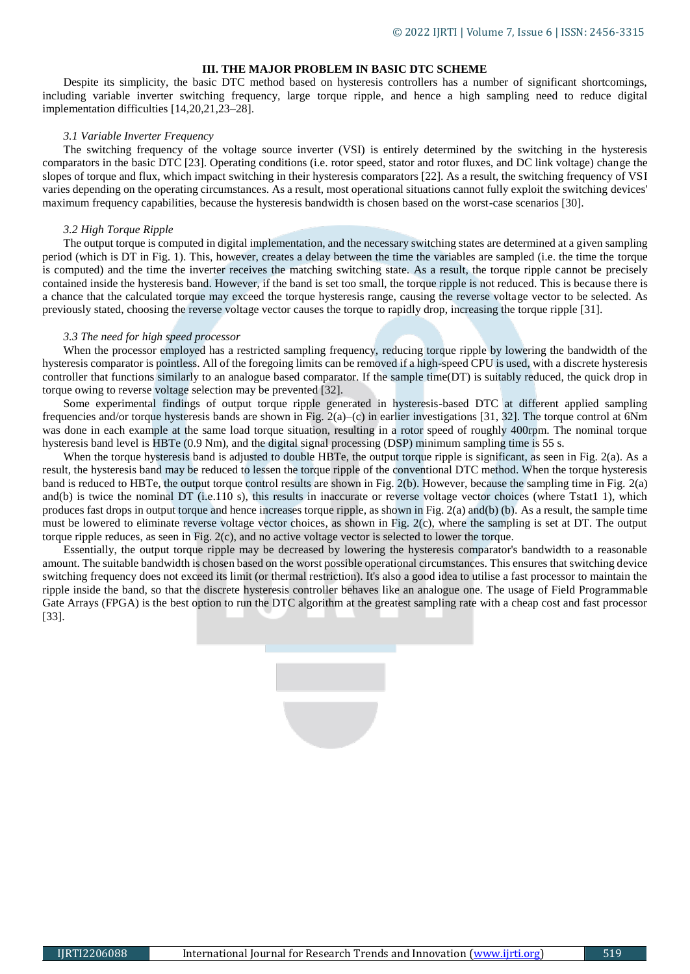# **III. THE MAJOR PROBLEM IN BASIC DTC SCHEME**

Despite its simplicity, the basic DTC method based on hysteresis controllers has a number of significant shortcomings, including variable inverter switching frequency, large torque ripple, and hence a high sampling need to reduce digital implementation difficulties [14,20,21,23–28].

#### *3.1 Variable Inverter Frequency*

The switching frequency of the voltage source inverter (VSI) is entirely determined by the switching in the hysteresis comparators in the basic DTC [23]. Operating conditions (i.e. rotor speed, stator and rotor fluxes, and DC link voltage) change the slopes of torque and flux, which impact switching in their hysteresis comparators [22]. As a result, the switching frequency of VSI varies depending on the operating circumstances. As a result, most operational situations cannot fully exploit the switching devices' maximum frequency capabilities, because the hysteresis bandwidth is chosen based on the worst-case scenarios [30].

#### *3.2 High Torque Ripple*

The output torque is computed in digital implementation, and the necessary switching states are determined at a given sampling period (which is DT in Fig. 1). This, however, creates a delay between the time the variables are sampled (i.e. the time the torque is computed) and the time the inverter receives the matching switching state. As a result, the torque ripple cannot be precisely contained inside the hysteresis band. However, if the band is set too small, the torque ripple is not reduced. This is because there is a chance that the calculated torque may exceed the torque hysteresis range, causing the reverse voltage vector to be selected. As previously stated, choosing the reverse voltage vector causes the torque to rapidly drop, increasing the torque ripple [31].

## *3.3 The need for high speed processor*

When the processor employed has a restricted sampling frequency, reducing torque ripple by lowering the bandwidth of the hysteresis comparator is pointless. All of the foregoing limits can be removed if a high-speed CPU is used, with a discrete hysteresis controller that functions similarly to an analogue based comparator. If the sample time(DT) is suitably reduced, the quick drop in torque owing to reverse voltage selection may be prevented [32].

Some experimental findings of output torque ripple generated in hysteresis-based DTC at different applied sampling frequencies and/or torque hysteresis bands are shown in Fig.  $2(a)$ –(c) in earlier investigations [31, 32]. The torque control at 6Nm was done in each example at the same load torque situation, resulting in a rotor speed of roughly 400rpm. The nominal torque hysteresis band level is HBTe (0.9 Nm), and the digital signal processing (DSP) minimum sampling time is 55 s.

When the torque hysteresis band is adjusted to double HBTe, the output torque ripple is significant, as seen in Fig. 2(a). As a result, the hysteresis band may be reduced to lessen the torque ripple of the conventional DTC method. When the torque hysteresis band is reduced to HBTe, the output torque control results are shown in Fig. 2(b). However, because the sampling time in Fig. 2(a) and(b) is twice the nominal DT (i.e.110 s), this results in inaccurate or reverse voltage vector choices (where Tstat1 1), which produces fast drops in output torque and hence increases torque ripple, as shown in Fig. 2(a) and(b) (b). As a result, the sample time must be lowered to eliminate reverse voltage vector choices, as shown in Fig. 2(c), where the sampling is set at DT. The output torque ripple reduces, as seen in Fig. 2(c), and no active voltage vector is selected to lower the torque.

Essentially, the output torque ripple may be decreased by lowering the hysteresis comparator's bandwidth to a reasonable amount. The suitable bandwidth is chosen based on the worst possible operational circumstances. This ensures that switching device switching frequency does not exceed its limit (or thermal restriction). It's also a good idea to utilise a fast processor to maintain the ripple inside the band, so that the discrete hysteresis controller behaves like an analogue one. The usage of Field Programmable Gate Arrays (FPGA) is the best option to run the DTC algorithm at the greatest sampling rate with a cheap cost and fast processor [33].

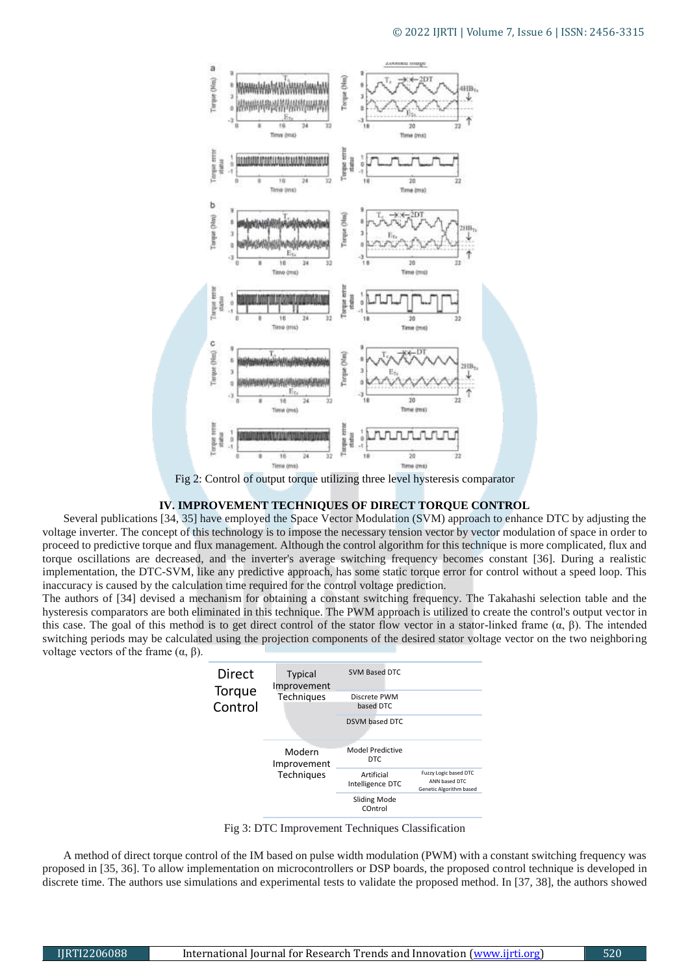

Fig 2: Control of output torque utilizing three level hysteresis comparator

## **IV. IMPROVEMENT TECHNIQUES OF DIRECT TORQUE CONTROL**

Several publications [34, 35] have employed the Space Vector Modulation (SVM) approach to enhance DTC by adjusting the voltage inverter. The concept of this technology is to impose the necessary tension vector by vector modulation of space in order to proceed to predictive torque and flux management. Although the control algorithm for this technique is more complicated, flux and torque oscillations are decreased, and the inverter's average switching frequency becomes constant [36]. During a realistic implementation, the DTC-SVM, like any predictive approach, has some static torque error for control without a speed loop. This inaccuracy is caused by the calculation time required for the control voltage prediction.

The authors of [34] devised a mechanism for obtaining a constant switching frequency. The Takahashi selection table and the hysteresis comparators are both eliminated in this technique. The PWM approach is utilized to create the control's output vector in this case. The goal of this method is to get direct control of the stator flow vector in a stator-linked frame  $(α, β)$ . The intended switching periods may be calculated using the projection components of the desired stator voltage vector on the two neighboring voltage vectors of the frame  $(α, β)$ .

| Direct<br>Torque<br>Control | <b>Typical</b><br>Improvement<br><b>Techniques</b> | SVM Based DTC<br>Discrete PWM<br>based DTC<br>DSVM based DTC |                                                                   |  |
|-----------------------------|----------------------------------------------------|--------------------------------------------------------------|-------------------------------------------------------------------|--|
|                             | Modern<br>Improvement                              | Model Predictive<br>DTC.                                     |                                                                   |  |
|                             | Techniques                                         | Artificial<br>Intelligence DTC                               | Fuzzy Logic based DTC<br>ANN based DTC<br>Genetic Algorithm based |  |
|                             |                                                    | Sliding Mode<br>COntrol                                      |                                                                   |  |

Fig 3: DTC Improvement Techniques Classification

A method of direct torque control of the IM based on pulse width modulation (PWM) with a constant switching frequency was proposed in [35, 36]. To allow implementation on microcontrollers or DSP boards, the proposed control technique is developed in discrete time. The authors use simulations and experimental tests to validate the proposed method. In [37, 38], the authors showed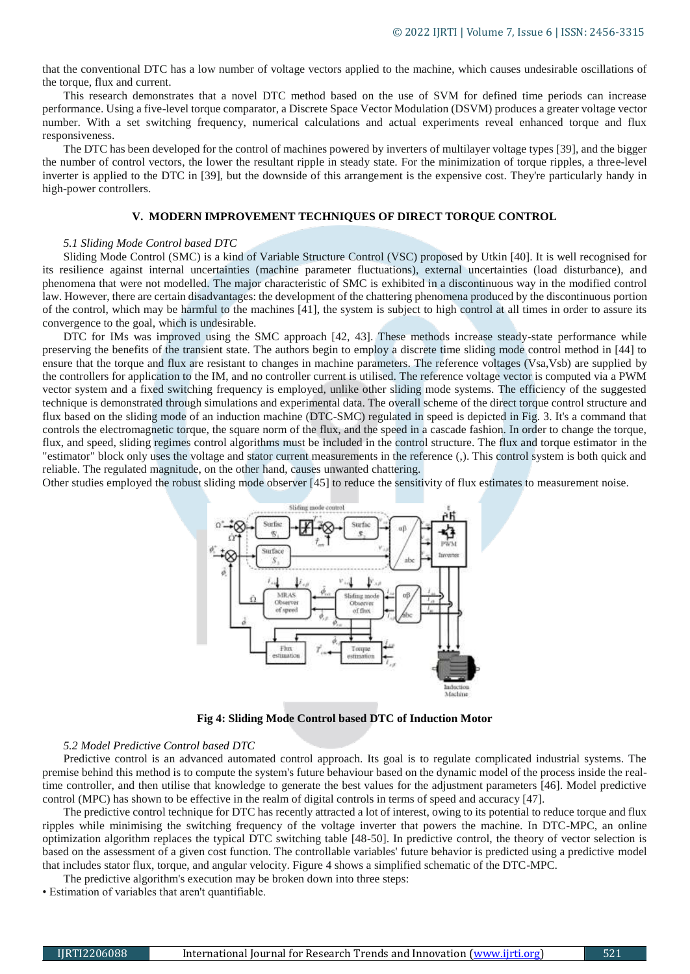that the conventional DTC has a low number of voltage vectors applied to the machine, which causes undesirable oscillations of the torque, flux and current.

This research demonstrates that a novel DTC method based on the use of SVM for defined time periods can increase performance. Using a five-level torque comparator, a Discrete Space Vector Modulation (DSVM) produces a greater voltage vector number. With a set switching frequency, numerical calculations and actual experiments reveal enhanced torque and flux responsiveness.

The DTC has been developed for the control of machines powered by inverters of multilayer voltage types [39], and the bigger the number of control vectors, the lower the resultant ripple in steady state. For the minimization of torque ripples, a three-level inverter is applied to the DTC in [39], but the downside of this arrangement is the expensive cost. They're particularly handy in high-power controllers.

## **V. MODERN IMPROVEMENT TECHNIQUES OF DIRECT TORQUE CONTROL**

## *5.1 Sliding Mode Control based DTC*

Sliding Mode Control (SMC) is a kind of Variable Structure Control (VSC) proposed by Utkin [40]. It is well recognised for its resilience against internal uncertainties (machine parameter fluctuations), external uncertainties (load disturbance), and phenomena that were not modelled. The major characteristic of SMC is exhibited in a discontinuous way in the modified control law. However, there are certain disadvantages: the development of the chattering phenomena produced by the discontinuous portion of the control, which may be harmful to the machines [41], the system is subject to high control at all times in order to assure its convergence to the goal, which is undesirable.

DTC for IMs was improved using the SMC approach [42, 43]. These methods increase steady-state performance while preserving the benefits of the transient state. The authors begin to employ a discrete time sliding mode control method in [44] to ensure that the torque and flux are resistant to changes in machine parameters. The reference voltages (Vsa,Vsb) are supplied by the controllers for application to the IM, and no controller current is utilised. The reference voltage vector is computed via a PWM vector system and a fixed switching frequency is employed, unlike other sliding mode systems. The efficiency of the suggested technique is demonstrated through simulations and experimental data. The overall scheme of the direct torque control structure and flux based on the sliding mode of an induction machine (DTC-SMC) regulated in speed is depicted in Fig. 3. It's a command that controls the electromagnetic torque, the square norm of the flux, and the speed in a cascade fashion. In order to change the torque, flux, and speed, sliding regimes control algorithms must be included in the control structure. The flux and torque estimator in the "estimator" block only uses the voltage and stator current measurements in the reference (,). This control system is both quick and reliable. The regulated magnitude, on the other hand, causes unwanted chattering.

Other studies employed the robust sliding mode observer [45] to reduce the sensitivity of flux estimates to measurement noise.



**Fig 4: Sliding Mode Control based DTC of Induction Motor**

#### *5.2 Model Predictive Control based DTC*

Predictive control is an advanced automated control approach. Its goal is to regulate complicated industrial systems. The premise behind this method is to compute the system's future behaviour based on the dynamic model of the process inside the realtime controller, and then utilise that knowledge to generate the best values for the adjustment parameters [46]. Model predictive control (MPC) has shown to be effective in the realm of digital controls in terms of speed and accuracy [47].

The predictive control technique for DTC has recently attracted a lot of interest, owing to its potential to reduce torque and flux ripples while minimising the switching frequency of the voltage inverter that powers the machine. In DTC-MPC, an online optimization algorithm replaces the typical DTC switching table [48-50]. In predictive control, the theory of vector selection is based on the assessment of a given cost function. The controllable variables' future behavior is predicted using a predictive model that includes stator flux, torque, and angular velocity. Figure 4 shows a simplified schematic of the DTC-MPC.

The predictive algorithm's execution may be broken down into three steps:

• Estimation of variables that aren't quantifiable.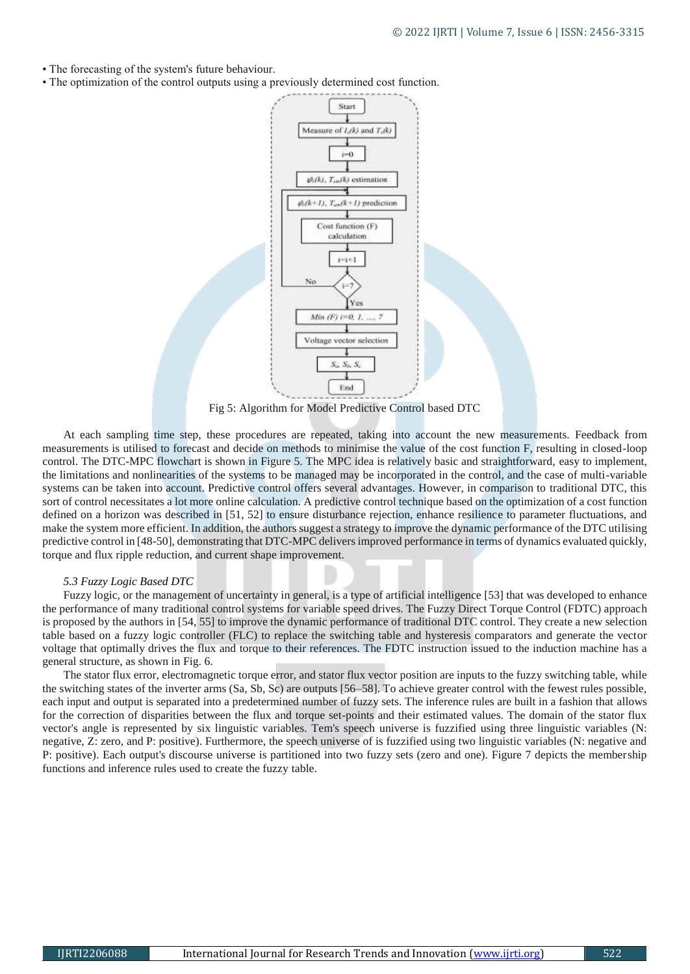- The forecasting of the system's future behaviour.
- The optimization of the control outputs using a previously determined cost function.



Fig 5: Algorithm for Model Predictive Control based DTC

At each sampling time step, these procedures are repeated, taking into account the new measurements. Feedback from measurements is utilised to forecast and decide on methods to minimise the value of the cost function F, resulting in closed-loop control. The DTC-MPC flowchart is shown in Figure 5. The MPC idea is relatively basic and straightforward, easy to implement, the limitations and nonlinearities of the systems to be managed may be incorporated in the control, and the case of multi-variable systems can be taken into account. Predictive control offers several advantages. However, in comparison to traditional DTC, this sort of control necessitates a lot more online calculation. A predictive control technique based on the optimization of a cost function defined on a horizon was described in [51, 52] to ensure disturbance rejection, enhance resilience to parameter fluctuations, and make the system more efficient. In addition, the authors suggest a strategy to improve the dynamic performance of the DTC utilising predictive control in [48-50], demonstrating that DTC-MPC delivers improved performance in terms of dynamics evaluated quickly, torque and flux ripple reduction, and current shape improvement.

## *5.3 Fuzzy Logic Based DTC*

Fuzzy logic, or the management of uncertainty in general, is a type of artificial intelligence [53] that was developed to enhance the performance of many traditional control systems for variable speed drives. The Fuzzy Direct Torque Control (FDTC) approach is proposed by the authors in [54, 55] to improve the dynamic performance of traditional DTC control. They create a new selection table based on a fuzzy logic controller (FLC) to replace the switching table and hysteresis comparators and generate the vector voltage that optimally drives the flux and torque to their references. The FDTC instruction issued to the induction machine has a general structure, as shown in Fig. 6.

The stator flux error, electromagnetic torque error, and stator flux vector position are inputs to the fuzzy switching table, while the switching states of the inverter arms (Sa, Sb, Sc) are outputs [56–58]. To achieve greater control with the fewest rules possible, each input and output is separated into a predetermined number of fuzzy sets. The inference rules are built in a fashion that allows for the correction of disparities between the flux and torque set-points and their estimated values. The domain of the stator flux vector's angle is represented by six linguistic variables. Tem's speech universe is fuzzified using three linguistic variables (N: negative, Z: zero, and P: positive). Furthermore, the speech universe of is fuzzified using two linguistic variables (N: negative and P: positive). Each output's discourse universe is partitioned into two fuzzy sets (zero and one). Figure 7 depicts the membership functions and inference rules used to create the fuzzy table.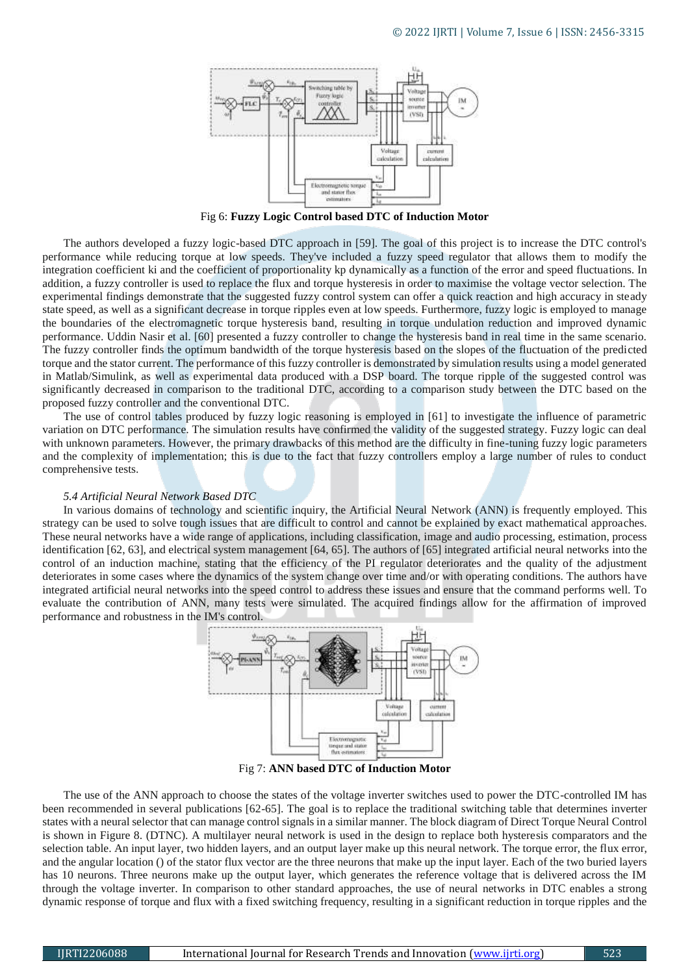

Fig 6: **Fuzzy Logic Control based DTC of Induction Motor**

The authors developed a fuzzy logic-based DTC approach in [59]. The goal of this project is to increase the DTC control's performance while reducing torque at low speeds. They've included a fuzzy speed regulator that allows them to modify the integration coefficient ki and the coefficient of proportionality kp dynamically as a function of the error and speed fluctuations. In addition, a fuzzy controller is used to replace the flux and torque hysteresis in order to maximise the voltage vector selection. The experimental findings demonstrate that the suggested fuzzy control system can offer a quick reaction and high accuracy in steady state speed, as well as a significant decrease in torque ripples even at low speeds. Furthermore, fuzzy logic is employed to manage the boundaries of the electromagnetic torque hysteresis band, resulting in torque undulation reduction and improved dynamic performance. Uddin Nasir et al. [60] presented a fuzzy controller to change the hysteresis band in real time in the same scenario. The fuzzy controller finds the optimum bandwidth of the torque hysteresis based on the slopes of the fluctuation of the predicted torque and the stator current. The performance of this fuzzy controller is demonstrated by simulation results using a model generated in Matlab/Simulink, as well as experimental data produced with a DSP board. The torque ripple of the suggested control was significantly decreased in comparison to the traditional DTC, according to a comparison study between the DTC based on the proposed fuzzy controller and the conventional DTC.

The use of control tables produced by fuzzy logic reasoning is employed in [61] to investigate the influence of parametric variation on DTC performance. The simulation results have confirmed the validity of the suggested strategy. Fuzzy logic can deal with unknown parameters. However, the primary drawbacks of this method are the difficulty in fine-tuning fuzzy logic parameters and the complexity of implementation; this is due to the fact that fuzzy controllers employ a large number of rules to conduct comprehensive tests.

## *5.4 Artificial Neural Network Based DTC*

In various domains of technology and scientific inquiry, the Artificial Neural Network (ANN) is frequently employed. This strategy can be used to solve tough issues that are difficult to control and cannot be explained by exact mathematical approaches. These neural networks have a wide range of applications, including classification, image and audio processing, estimation, process identification [62, 63], and electrical system management [64, 65]. The authors of [65] integrated artificial neural networks into the control of an induction machine, stating that the efficiency of the PI regulator deteriorates and the quality of the adjustment deteriorates in some cases where the dynamics of the system change over time and/or with operating conditions. The authors have integrated artificial neural networks into the speed control to address these issues and ensure that the command performs well. To evaluate the contribution of ANN, many tests were simulated. The acquired findings allow for the affirmation of improved performance and robustness in the IM's control.



Fig 7: **ANN based DTC of Induction Motor**

The use of the ANN approach to choose the states of the voltage inverter switches used to power the DTC-controlled IM has been recommended in several publications [62-65]. The goal is to replace the traditional switching table that determines inverter states with a neural selector that can manage control signals in a similar manner. The block diagram of Direct Torque Neural Control is shown in Figure 8. (DTNC). A multilayer neural network is used in the design to replace both hysteresis comparators and the selection table. An input layer, two hidden layers, and an output layer make up this neural network. The torque error, the flux error, and the angular location () of the stator flux vector are the three neurons that make up the input layer. Each of the two buried layers has 10 neurons. Three neurons make up the output layer, which generates the reference voltage that is delivered across the IM through the voltage inverter. In comparison to other standard approaches, the use of neural networks in DTC enables a strong dynamic response of torque and flux with a fixed switching frequency, resulting in a significant reduction in torque ripples and the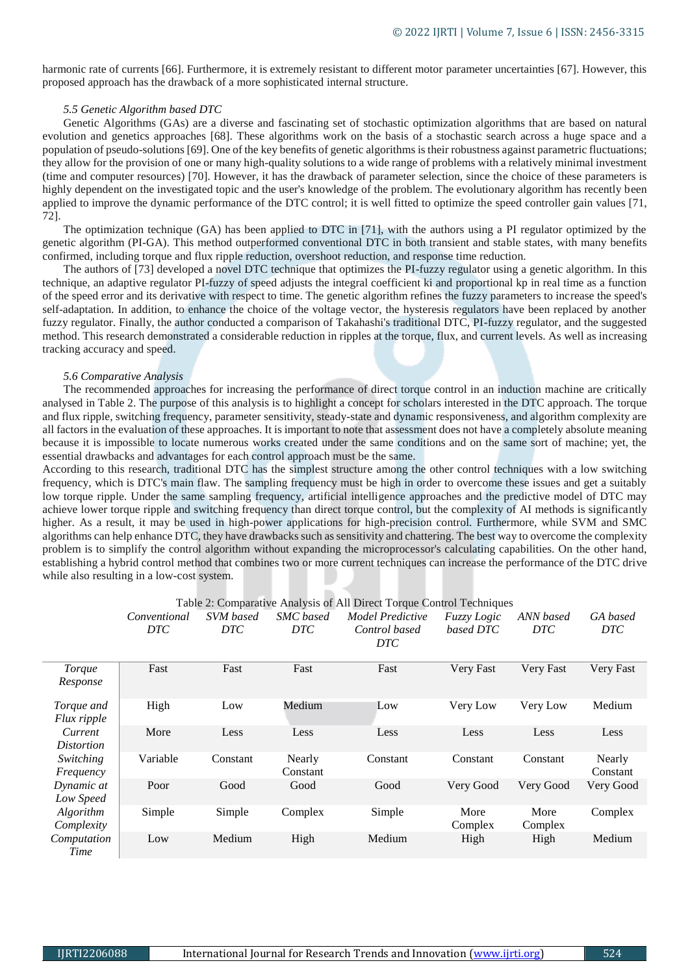harmonic rate of currents [66]. Furthermore, it is extremely resistant to different motor parameter uncertainties [67]. However, this proposed approach has the drawback of a more sophisticated internal structure.

## *5.5 Genetic Algorithm based DTC*

Genetic Algorithms (GAs) are a diverse and fascinating set of stochastic optimization algorithms that are based on natural evolution and genetics approaches [68]. These algorithms work on the basis of a stochastic search across a huge space and a population of pseudo-solutions [69]. One of the key benefits of genetic algorithms is their robustness against parametric fluctuations; they allow for the provision of one or many high-quality solutions to a wide range of problems with a relatively minimal investment (time and computer resources) [70]. However, it has the drawback of parameter selection, since the choice of these parameters is highly dependent on the investigated topic and the user's knowledge of the problem. The evolutionary algorithm has recently been applied to improve the dynamic performance of the DTC control; it is well fitted to optimize the speed controller gain values [71, 72].

The optimization technique (GA) has been applied to DTC in [71], with the authors using a PI regulator optimized by the genetic algorithm (PI-GA). This method outperformed conventional DTC in both transient and stable states, with many benefits confirmed, including torque and flux ripple reduction, overshoot reduction, and response time reduction.

The authors of [73] developed a novel DTC technique that optimizes the PI-fuzzy regulator using a genetic algorithm. In this technique, an adaptive regulator PI-fuzzy of speed adjusts the integral coefficient ki and proportional kp in real time as a function of the speed error and its derivative with respect to time. The genetic algorithm refines the fuzzy parameters to increase the speed's self-adaptation. In addition, to enhance the choice of the voltage vector, the hysteresis regulators have been replaced by another fuzzy regulator. Finally, the author conducted a comparison of Takahashi's traditional DTC, PI-fuzzy regulator, and the suggested method. This research demonstrated a considerable reduction in ripples at the torque, flux, and current levels. As well as increasing tracking accuracy and speed.

#### *5.6 Comparative Analysis*

The recommended approaches for increasing the performance of direct torque control in an induction machine are critically analysed in Table 2. The purpose of this analysis is to highlight a concept for scholars interested in the DTC approach. The torque and flux ripple, switching frequency, parameter sensitivity, steady-state and dynamic responsiveness, and algorithm complexity are all factors in the evaluation of these approaches. It is important to note that assessment does not have a completely absolute meaning because it is impossible to locate numerous works created under the same conditions and on the same sort of machine; yet, the essential drawbacks and advantages for each control approach must be the same.

According to this research, traditional DTC has the simplest structure among the other control techniques with a low switching frequency, which is DTC's main flaw. The sampling frequency must be high in order to overcome these issues and get a suitably low torque ripple. Under the same sampling frequency, artificial intelligence approaches and the predictive model of DTC may achieve lower torque ripple and switching frequency than direct torque control, but the complexity of AI methods is significantly higher. As a result, it may be used in high-power applications for high-precision control. Furthermore, while SVM and SMC algorithms can help enhance DTC, they have drawbacks such as sensitivity and chattering. The best way to overcome the complexity problem is to simplify the control algorithm without expanding the microprocessor's calculating capabilities. On the other hand, establishing a hybrid control method that combines two or more current techniques can increase the performance of the DTC drive while also resulting in a low-cost system.

|                                | Conventional<br>DTC | SVM based<br><b>DTC</b> | <b>SMC</b> based<br>DTC | Model Predictive<br>Control based<br>DTC | Fuzzy Logic<br>based DTC | ANN based<br><b>DTC</b> | GA based<br>DTC    |
|--------------------------------|---------------------|-------------------------|-------------------------|------------------------------------------|--------------------------|-------------------------|--------------------|
| Torque<br>Response             | Fast                | Fast                    | Fast                    | Fast                                     | Very Fast                | Very Fast               | Very Fast          |
| Torque and<br>Flux ripple      | High                | Low                     | Medium                  | Low                                      | Very Low                 | Very Low                | Medium             |
| Current<br><i>Distortion</i>   | More                | Less                    | Less                    | Less                                     | Less                     | Less                    | Less               |
| Switching<br>Frequency         | Variable            | Constant                | Nearly<br>Constant      | Constant                                 | Constant                 | Constant                | Nearly<br>Constant |
| Dynamic at<br>Low Speed        | Poor                | Good                    | Good                    | Good                                     | Very Good                | Very Good               | Very Good          |
| <i>Algorithm</i><br>Complexity | Simple              | Simple                  | Complex                 | Simple                                   | More<br>Complex          | More<br>Complex         | Complex            |
| Computation<br>Time            | Low                 | Medium                  | High                    | Medium                                   | High                     | High                    | Medium             |

Table 2: Comparative Analysis of All Direct Torque Control Techniques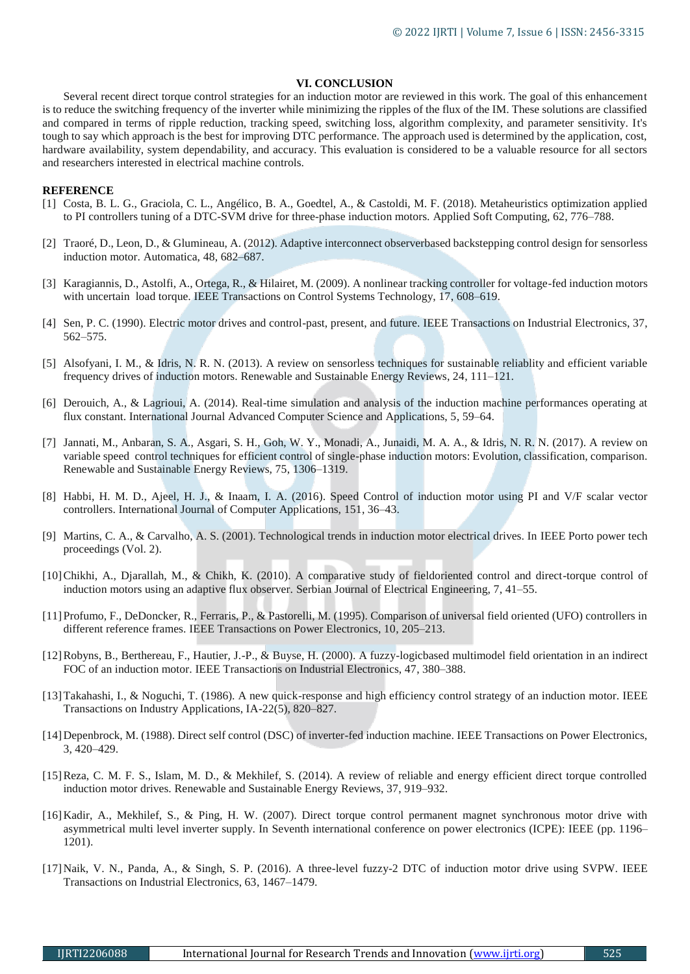# **VI. CONCLUSION**

Several recent direct torque control strategies for an induction motor are reviewed in this work. The goal of this enhancement is to reduce the switching frequency of the inverter while minimizing the ripples of the flux of the IM. These solutions are classified and compared in terms of ripple reduction, tracking speed, switching loss, algorithm complexity, and parameter sensitivity. It's tough to say which approach is the best for improving DTC performance. The approach used is determined by the application, cost, hardware availability, system dependability, and accuracy. This evaluation is considered to be a valuable resource for all sectors and researchers interested in electrical machine controls.

## **REFERENCE**

- [1] Costa, B. L. G., Graciola, C. L., Angélico, B. A., Goedtel, A., & Castoldi, M. F. (2018). Metaheuristics optimization applied to PI controllers tuning of a DTC-SVM drive for three-phase induction motors. Applied Soft Computing, 62, 776–788.
- [2] Traoré, D., Leon, D., & Glumineau, A. (2012). Adaptive interconnect observerbased backstepping control design for sensorless induction motor. Automatica, 48, 682–687.
- [3] Karagiannis, D., Astolfi, A., Ortega, R., & Hilairet, M. (2009). A nonlinear tracking controller for voltage-fed induction motors with uncertain load torque. IEEE Transactions on Control Systems Technology, 17, 608–619.
- [4] Sen, P. C. (1990). Electric motor drives and control-past, present, and future. IEEE Transactions on Industrial Electronics, 37, 562–575.
- [5] Alsofyani, I. M., & Idris, N. R. N. (2013). A review on sensorless techniques for sustainable reliablity and efficient variable frequency drives of induction motors. Renewable and Sustainable Energy Reviews, 24, 111–121.
- [6] Derouich, A., & Lagrioui, A. (2014). Real-time simulation and analysis of the induction machine performances operating at flux constant. International Journal Advanced Computer Science and Applications, 5, 59–64.
- [7] Jannati, M., Anbaran, S. A., Asgari, S. H., Goh, W. Y., Monadi, A., Junaidi, M. A. A., & Idris, N. R. N. (2017). A review on variable speed control techniques for efficient control of single-phase induction motors: Evolution, classification, comparison. Renewable and Sustainable Energy Reviews, 75, 1306–1319.
- [8] Habbi, H. M. D., Ajeel, H. J., & Inaam, I. A. (2016). Speed Control of induction motor using PI and V/F scalar vector controllers. International Journal of Computer Applications, 151, 36–43.
- [9] Martins, C. A., & Carvalho, A. S. (2001). Technological trends in induction motor electrical drives. In IEEE Porto power tech proceedings (Vol. 2).
- [10]Chikhi, A., Djarallah, M., & Chikh, K. (2010). A comparative study of fieldoriented control and direct-torque control of induction motors using an adaptive flux observer. Serbian Journal of Electrical Engineering, 7, 41–55.
- [11]Profumo, F., DeDoncker, R., Ferraris, P., & Pastorelli, M. (1995). Comparison of universal field oriented (UFO) controllers in different reference frames. IEEE Transactions on Power Electronics, 10, 205–213.
- [12]Robyns, B., Berthereau, F., Hautier, J.-P., & Buyse, H. (2000). A fuzzy-logicbased multimodel field orientation in an indirect FOC of an induction motor. IEEE Transactions on Industrial Electronics, 47, 380–388.
- [13]Takahashi, I., & Noguchi, T. (1986). A new quick-response and high efficiency control strategy of an induction motor. IEEE Transactions on Industry Applications, IA-22(5), 820–827.
- [14]Depenbrock, M. (1988). Direct self control (DSC) of inverter-fed induction machine. IEEE Transactions on Power Electronics, 3, 420–429.
- [15]Reza, C. M. F. S., Islam, M. D., & Mekhilef, S. (2014). A review of reliable and energy efficient direct torque controlled induction motor drives. Renewable and Sustainable Energy Reviews, 37, 919–932.
- [16]Kadir, A., Mekhilef, S., & Ping, H. W. (2007). Direct torque control permanent magnet synchronous motor drive with asymmetrical multi level inverter supply. In Seventh international conference on power electronics (ICPE): IEEE (pp. 1196– 1201).
- [17]Naik, V. N., Panda, A., & Singh, S. P. (2016). A three-level fuzzy-2 DTC of induction motor drive using SVPW. IEEE Transactions on Industrial Electronics, 63, 1467–1479.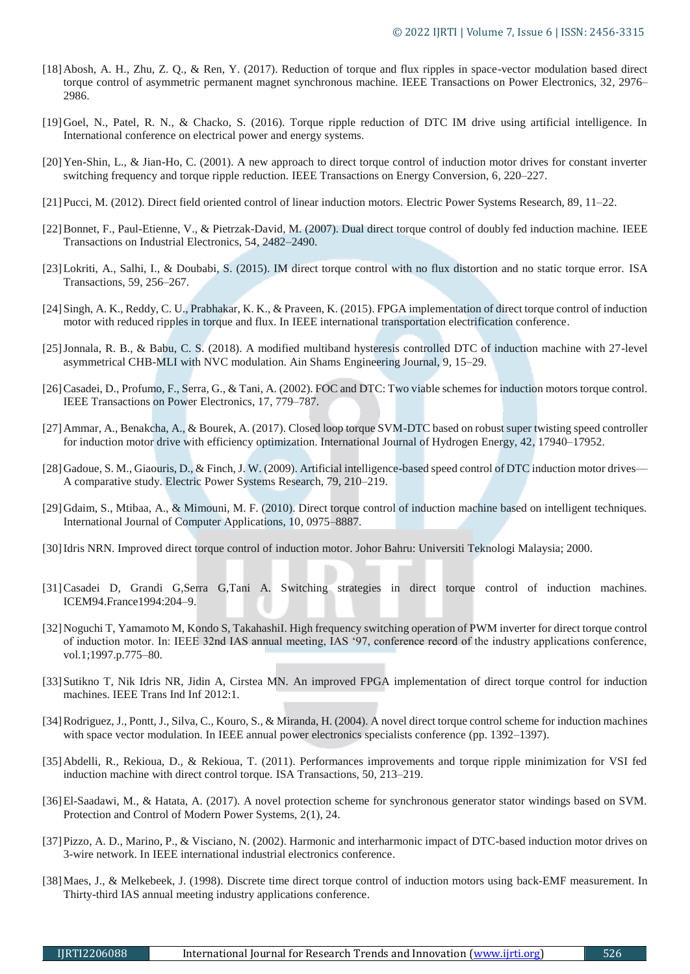- [18]Abosh, A. H., Zhu, Z. Q., & Ren, Y. (2017). Reduction of torque and flux ripples in space-vector modulation based direct torque control of asymmetric permanent magnet synchronous machine. IEEE Transactions on Power Electronics, 32, 2976– 2986.
- [19]Goel, N., Patel, R. N., & Chacko, S. (2016). Torque ripple reduction of DTC IM drive using artificial intelligence. In International conference on electrical power and energy systems.
- [20]Yen-Shin, L., & Jian-Ho, C. (2001). A new approach to direct torque control of induction motor drives for constant inverter switching frequency and torque ripple reduction. IEEE Transactions on Energy Conversion, 6, 220–227.
- [21]Pucci, M. (2012). Direct field oriented control of linear induction motors. Electric Power Systems Research, 89, 11–22.
- [22]Bonnet, F., Paul-Etienne, V., & Pietrzak-David, M. (2007). Dual direct torque control of doubly fed induction machine. IEEE Transactions on Industrial Electronics, 54, 2482–2490.
- [23]Lokriti, A., Salhi, I., & Doubabi, S. (2015). IM direct torque control with no flux distortion and no static torque error. ISA Transactions, 59, 256–267.
- [24]Singh, A. K., Reddy, C. U., Prabhakar, K. K., & Praveen, K. (2015). FPGA implementation of direct torque control of induction motor with reduced ripples in torque and flux. In IEEE international transportation electrification conference.
- [25]Jonnala, R. B., & Babu, C. S. (2018). A modified multiband hysteresis controlled DTC of induction machine with 27-level asymmetrical CHB-MLI with NVC modulation. Ain Shams Engineering Journal, 9, 15–29.
- [26]Casadei, D., Profumo, F., Serra, G., & Tani, A. (2002). FOC and DTC: Two viable schemes for induction motors torque control. IEEE Transactions on Power Electronics, 17, 779–787.
- [27]Ammar, A., Benakcha, A., & Bourek, A. (2017). Closed loop torque SVM-DTC based on robust super twisting speed controller for induction motor drive with efficiency optimization. International Journal of Hydrogen Energy, 42, 17940–17952.
- [28]Gadoue, S. M., Giaouris, D., & Finch, J. W. (2009). Artificial intelligence-based speed control of DTC induction motor drives— A comparative study. Electric Power Systems Research, 79, 210–219.
- [29]Gdaim, S., Mtibaa, A., & Mimouni, M. F. (2010). Direct torque control of induction machine based on intelligent techniques. International Journal of Computer Applications, 10, 0975–8887.
- [30]Idris NRN. Improved direct torque control of induction motor. Johor Bahru: Universiti Teknologi Malaysia; 2000.
- [31]Casadei D, Grandi G,Serra G,Tani A. Switching strategies in direct torque control of induction machines. ICEM94.France1994:204–9.
- [32]Noguchi T, Yamamoto M, Kondo S, TakahashiI. High frequency switching operation of PWM inverter for direct torque control of induction motor. In: IEEE 32nd IAS annual meeting, IAS '97, conference record of the industry applications conference, vol.1;1997.p.775–80.
- [33]Sutikno T, Nik Idris NR, Jidin A, Cirstea MN. An improved FPGA implementation of direct torque control for induction machines. IEEE Trans Ind Inf 2012:1.
- [34]Rodriguez, J., Pontt, J., Silva, C., Kouro, S., & Miranda, H. (2004). A novel direct torque control scheme for induction machines with space vector modulation. In IEEE annual power electronics specialists conference (pp. 1392–1397).
- [35]Abdelli, R., Rekioua, D., & Rekioua, T. (2011). Performances improvements and torque ripple minimization for VSI fed induction machine with direct control torque. ISA Transactions, 50, 213–219.
- [36]El-Saadawi, M., & Hatata, A. (2017). A novel protection scheme for synchronous generator stator windings based on SVM. Protection and Control of Modern Power Systems, 2(1), 24.
- [37]Pizzo, A. D., Marino, P., & Visciano, N. (2002). Harmonic and interharmonic impact of DTC-based induction motor drives on 3-wire network. In IEEE international industrial electronics conference.
- [38]Maes, J., & Melkebeek, J. (1998). Discrete time direct torque control of induction motors using back-EMF measurement. In Thirty-third IAS annual meeting industry applications conference.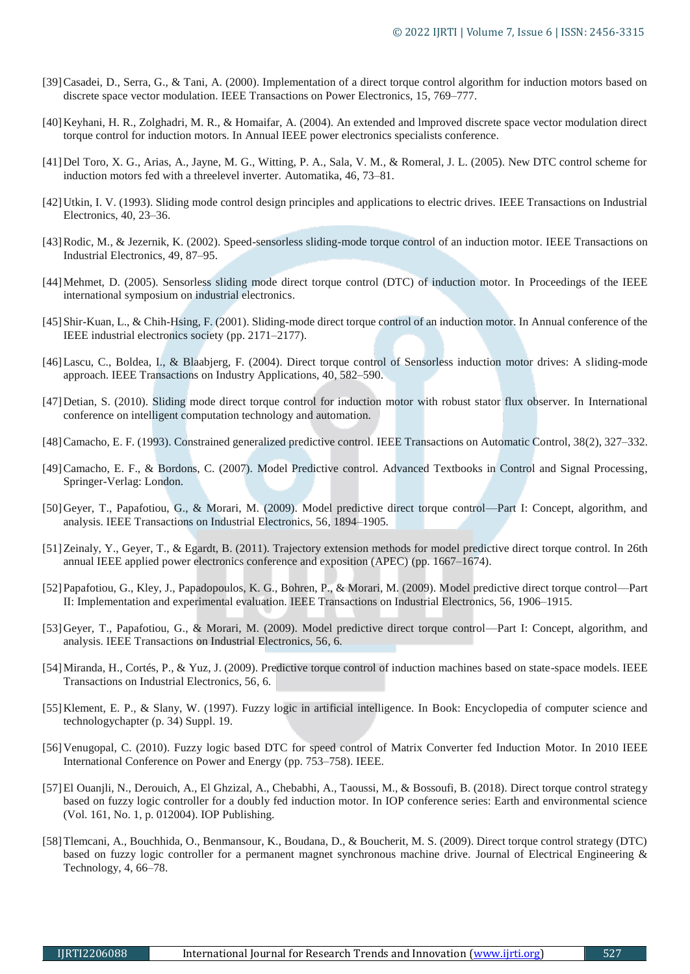- [39]Casadei, D., Serra, G., & Tani, A. (2000). Implementation of a direct torque control algorithm for induction motors based on discrete space vector modulation. IEEE Transactions on Power Electronics, 15, 769–777.
- [40]Keyhani, H. R., Zolghadri, M. R., & Homaifar, A. (2004). An extended and lmproved discrete space vector modulation direct torque control for induction motors. In Annual IEEE power electronics specialists conference.
- [41]Del Toro, X. G., Arias, A., Jayne, M. G., Witting, P. A., Sala, V. M., & Romeral, J. L. (2005). New DTC control scheme for induction motors fed with a threelevel inverter. Automatika, 46, 73–81.
- [42]Utkin, I. V. (1993). Sliding mode control design principles and applications to electric drives. IEEE Transactions on Industrial Electronics, 40, 23–36.
- [43]Rodic, M., & Jezernik, K. (2002). Speed-sensorless sliding-mode torque control of an induction motor. IEEE Transactions on Industrial Electronics, 49, 87–95.
- [44]Mehmet, D. (2005). Sensorless sliding mode direct torque control (DTC) of induction motor. In Proceedings of the IEEE international symposium on industrial electronics.
- [45]Shir-Kuan, L., & Chih-Hsing, F. (2001). Sliding-mode direct torque control of an induction motor. In Annual conference of the IEEE industrial electronics society (pp. 2171–2177).
- [46]Lascu, C., Boldea, I., & Blaabjerg, F. (2004). Direct torque control of Sensorless induction motor drives: A sliding-mode approach. IEEE Transactions on Industry Applications, 40, 582–590.
- [47]Detian, S. (2010). Sliding mode direct torque control for induction motor with robust stator flux observer. In International conference on intelligent computation technology and automation.
- [48]Camacho, E. F. (1993). Constrained generalized predictive control. IEEE Transactions on Automatic Control, 38(2), 327–332.
- [49]Camacho, E. F., & Bordons, C. (2007). Model Predictive control. Advanced Textbooks in Control and Signal Processing, Springer-Verlag: London.
- [50]Geyer, T., Papafotiou, G., & Morari, M. (2009). Model predictive direct torque control—Part I: Concept, algorithm, and analysis. IEEE Transactions on Industrial Electronics, 56, 1894–1905.
- [51]Zeinaly, Y., Geyer, T., & Egardt, B. (2011). Trajectory extension methods for model predictive direct torque control. In 26th annual IEEE applied power electronics conference and exposition (APEC) (pp. 1667–1674).
- [52]Papafotiou, G., Kley, J., Papadopoulos, K. G., Bohren, P., & Morari, M. (2009). Model predictive direct torque control—Part II: Implementation and experimental evaluation. IEEE Transactions on Industrial Electronics, 56, 1906–1915.
- [53]Geyer, T., Papafotiou, G., & Morari, M. (2009). Model predictive direct torque control—Part I: Concept, algorithm, and analysis. IEEE Transactions on Industrial Electronics, 56, 6.
- [54]Miranda, H., Cortés, P., & Yuz, J. (2009). Predictive torque control of induction machines based on state-space models. IEEE Transactions on Industrial Electronics, 56, 6.
- [55]Klement, E. P., & Slany, W. (1997). Fuzzy logic in artificial intelligence. In Book: Encyclopedia of computer science and technologychapter (p. 34) Suppl. 19.
- [56]Venugopal, C. (2010). Fuzzy logic based DTC for speed control of Matrix Converter fed Induction Motor. In 2010 IEEE International Conference on Power and Energy (pp. 753–758). IEEE.
- [57]El Ouanjli, N., Derouich, A., El Ghzizal, A., Chebabhi, A., Taoussi, M., & Bossoufi, B. (2018). Direct torque control strategy based on fuzzy logic controller for a doubly fed induction motor. In IOP conference series: Earth and environmental science (Vol. 161, No. 1, p. 012004). IOP Publishing.
- [58]Tlemcani, A., Bouchhida, O., Benmansour, K., Boudana, D., & Boucherit, M. S. (2009). Direct torque control strategy (DTC) based on fuzzy logic controller for a permanent magnet synchronous machine drive. Journal of Electrical Engineering & Technology, 4, 66–78.